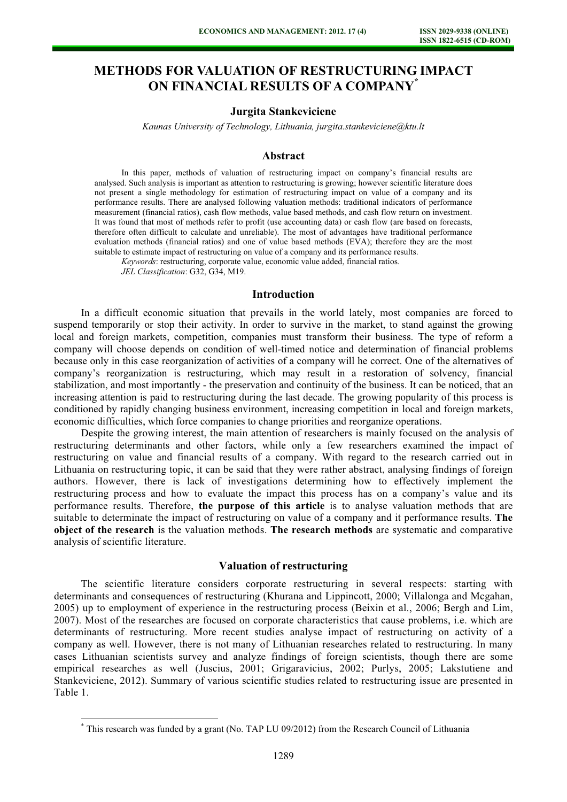# METHODS FOR VALUATION OF RESTRUCTURING IMPACT ON FINANCIAL RESULTS OF A COMPANY\*

## Jurgita Stankeviciene

Kaunas University of Technology, Lithuania, jurgita.stankeviciene@ktu.lt

# Abstract

In this paper, methods of valuation of restructuring impact on company's financial results are analysed. Such analysis is important as attention to restructuring is growing; however scientific literature does not present a single methodology for estimation of restructuring impact on value of a company and its performance results. There are analysed following valuation methods: traditional indicators of performance measurement (financial ratios), cash flow methods, value based methods, and cash flow return on investment. It was found that most of methods refer to profit (use accounting data) or cash flow (are based on forecasts, therefore often difficult to calculate and unreliable). The most of advantages have traditional performance evaluation methods (financial ratios) and one of value based methods (EVA); therefore they are the most suitable to estimate impact of restructuring on value of a company and its performance results.

Keywords: restructuring, corporate value, economic value added, financial ratios.

JEL Classification: G32, G34, M19.

 $\overline{a}$ 

### Introduction

In a difficult economic situation that prevails in the world lately, most companies are forced to suspend temporarily or stop their activity. In order to survive in the market, to stand against the growing local and foreign markets, competition, companies must transform their business. The type of reform a company will choose depends on condition of well-timed notice and determination of financial problems because only in this case reorganization of activities of a company will he correct. One of the alternatives of company's reorganization is restructuring, which may result in a restoration of solvency, financial stabilization, and most importantly - the preservation and continuity of the business. It can be noticed, that an increasing attention is paid to restructuring during the last decade. The growing popularity of this process is conditioned by rapidly changing business environment, increasing competition in local and foreign markets, economic difficulties, which force companies to change priorities and reorganize operations.

Despite the growing interest, the main attention of researchers is mainly focused on the analysis of restructuring determinants and other factors, while only a few researchers examined the impact of restructuring on value and financial results of a company. With regard to the research carried out in Lithuania on restructuring topic, it can be said that they were rather abstract, analysing findings of foreign authors. However, there is lack of investigations determining how to effectively implement the restructuring process and how to evaluate the impact this process has on a company's value and its performance results. Therefore, the purpose of this article is to analyse valuation methods that are suitable to determinate the impact of restructuring on value of a company and it performance results. The object of the research is the valuation methods. The research methods are systematic and comparative analysis of scientific literature.

#### Valuation of restructuring

The scientific literature considers corporate restructuring in several respects: starting with determinants and consequences of restructuring (Khurana and Lippincott, 2000; Villalonga and Mcgahan, 2005) up to employment of experience in the restructuring process (Beixin et al., 2006; Bergh and Lim, 2007). Most of the researches are focused on corporate characteristics that cause problems, i.e. which are determinants of restructuring. More recent studies analyse impact of restructuring on activity of a company as well. However, there is not many of Lithuanian researches related to restructuring. In many cases Lithuanian scientists survey and analyze findings of foreign scientists, though there are some empirical researches as well (Juscius, 2001; Grigaravicius, 2002; Purlys, 2005; Lakstutiene and Stankeviciene, 2012). Summary of various scientific studies related to restructuring issue are presented in Table 1.

<sup>\*</sup> This research was funded by a grant (No. TAP LU 09/2012) from the Research Council of Lithuania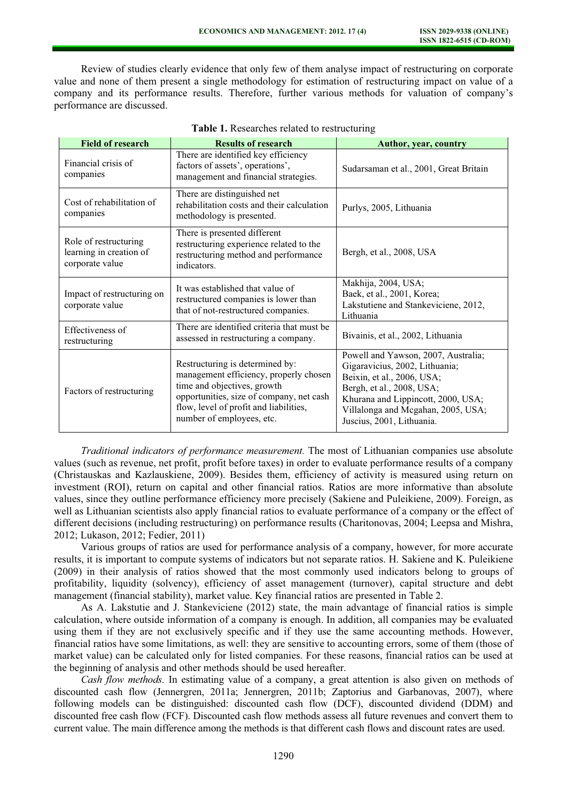Review of studies clearly evidence that only few of them analyse impact of restructuring on corporate value and none of them present a single methodology for estimation of restructuring impact on value of a company and its performance results. Therefore, further various methods for valuation of company's performance are discussed.

| <b>Field of research</b>                                            | <b>Results of research</b>                                                                                                                                                                                                  | Author, year, country                                                                                                                                                                                                                     |
|---------------------------------------------------------------------|-----------------------------------------------------------------------------------------------------------------------------------------------------------------------------------------------------------------------------|-------------------------------------------------------------------------------------------------------------------------------------------------------------------------------------------------------------------------------------------|
| Financial crisis of<br>companies                                    | There are identified key efficiency<br>factors of assets', operations',<br>management and financial strategies.                                                                                                             | Sudarsaman et al., 2001, Great Britain                                                                                                                                                                                                    |
| Cost of rehabilitation of<br>companies                              | There are distinguished net<br>rehabilitation costs and their calculation<br>methodology is presented.                                                                                                                      | Purlys, 2005, Lithuania                                                                                                                                                                                                                   |
| Role of restructuring<br>learning in creation of<br>corporate value | There is presented different<br>restructuring experience related to the<br>restructuring method and performance<br>indicators.                                                                                              | Bergh, et al., 2008, USA                                                                                                                                                                                                                  |
| Impact of restructuring on<br>corporate value                       | It was established that value of<br>restructured companies is lower than<br>that of not-restructured companies.                                                                                                             | Makhija, 2004, USA;<br>Baek, et al., 2001, Korea;<br>Lakstutiene and Stankeviciene, 2012,<br>Lithuania                                                                                                                                    |
| Effectiveness of<br>restructuring                                   | There are identified criteria that must be<br>assessed in restructuring a company.                                                                                                                                          | Bivainis, et al., 2002, Lithuania                                                                                                                                                                                                         |
| Factors of restructuring                                            | Restructuring is determined by:<br>management efficiency, properly chosen<br>time and objectives, growth<br>opportunities, size of company, net cash<br>flow, level of profit and liabilities,<br>number of employees, etc. | Powell and Yawson, 2007, Australia;<br>Gigaravicius, 2002, Lithuania;<br>Beixin, et al., 2006, USA;<br>Bergh, et al., 2008, USA;<br>Khurana and Lippincott, 2000, USA;<br>Villalonga and Mcgahan, 2005, USA;<br>Juscius, 2001, Lithuania. |

| Table 1. Researches related to restructuring |
|----------------------------------------------|
|----------------------------------------------|

Traditional indicators of performance measurement. The most of Lithuanian companies use absolute values (such as revenue, net profit, profit before taxes) in order to evaluate performance results of a company (Christauskas and Kazlauskiene, 2009). Besides them, efficiency of activity is measured using return on investment (ROI), return on capital and other financial ratios. Ratios are more informative than absolute values, since they outline performance efficiency more precisely (Sakiene and Puleikiene, 2009). Foreign, as well as Lithuanian scientists also apply financial ratios to evaluate performance of a company or the effect of different decisions (including restructuring) on performance results (Charitonovas, 2004; Leepsa and Mishra, 2012; Lukason, 2012; Fedier, 2011)

Various groups of ratios are used for performance analysis of a company, however, for more accurate results, it is important to compute systems of indicators but not separate ratios. H. Sakiene and K. Puleikiene (2009) in their analysis of ratios showed that the most commonly used indicators belong to groups of profitability, liquidity (solvency), efficiency of asset management (turnover), capital structure and debt management (financial stability), market value. Key financial ratios are presented in Table 2.

As A. Lakstutie and J. Stankeviciene (2012) state, the main advantage of financial ratios is simple calculation, where outside information of a company is enough. In addition, all companies may be evaluated using them if they are not exclusively specific and if they use the same accounting methods. However, financial ratios have some limitations, as well: they are sensitive to accounting errors, some of them (those of market value) can be calculated only for listed companies. For these reasons, financial ratios can be used at the beginning of analysis and other methods should be used hereafter.

Cash flow methods. In estimating value of a company, a great attention is also given on methods of discounted cash flow (Jennergren, 2011a; Jennergren, 2011b; Zaptorius and Garbanovas, 2007), where following models can be distinguished: discounted cash flow (DCF), discounted dividend (DDM) and discounted free cash flow (FCF). Discounted cash flow methods assess all future revenues and convert them to current value. The main difference among the methods is that different cash flows and discount rates are used.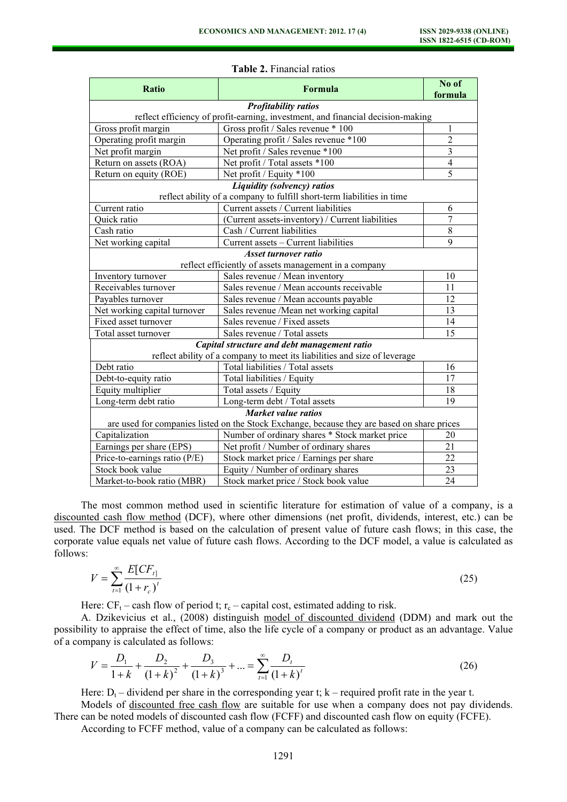| <b>Ratio</b>                                                                                | Formula                                                                | No of<br>formula |  |  |  |
|---------------------------------------------------------------------------------------------|------------------------------------------------------------------------|------------------|--|--|--|
| <b>Profitability ratios</b>                                                                 |                                                                        |                  |  |  |  |
| reflect efficiency of profit-earning, investment, and financial decision-making             |                                                                        |                  |  |  |  |
| Gross profit margin                                                                         | Gross profit / Sales revenue * 100                                     | 1                |  |  |  |
| Operating profit margin                                                                     | Operating profit / Sales revenue *100                                  | $\overline{c}$   |  |  |  |
| Net profit margin                                                                           | Net profit / Sales revenue *100                                        | $\overline{3}$   |  |  |  |
| Return on assets (ROA)                                                                      | Net profit / Total assets *100                                         | $\overline{4}$   |  |  |  |
| Return on equity (ROE)                                                                      | Net profit / Equity *100                                               | 5                |  |  |  |
|                                                                                             | Liquidity (solvency) ratios                                            |                  |  |  |  |
|                                                                                             | reflect ability of a company to fulfill short-term liabilities in time |                  |  |  |  |
| Current ratio                                                                               | Current assets / Current liabilities                                   | 6                |  |  |  |
| Quick ratio                                                                                 | (Current assets-inventory) / Current liabilities                       | $\overline{7}$   |  |  |  |
| Cash ratio                                                                                  | Cash / Current liabilities                                             | 8                |  |  |  |
| Net working capital                                                                         | Current assets - Current liabilities                                   | 9                |  |  |  |
| <b>Asset turnover ratio</b>                                                                 |                                                                        |                  |  |  |  |
| reflect efficiently of assets management in a company                                       |                                                                        |                  |  |  |  |
| Inventory turnover                                                                          | Sales revenue / Mean inventory                                         | 10               |  |  |  |
| Receivables turnover                                                                        | Sales revenue / Mean accounts receivable                               | 11               |  |  |  |
| Payables turnover                                                                           | Sales revenue / Mean accounts payable                                  | 12               |  |  |  |
| Net working capital turnover                                                                | Sales revenue /Mean net working capital                                | 13               |  |  |  |
| Fixed asset turnover                                                                        | Sales revenue / Fixed assets                                           | 14               |  |  |  |
| Total asset turnover                                                                        | Sales revenue / Total assets                                           | 15               |  |  |  |
| Capital structure and debt management ratio                                                 |                                                                        |                  |  |  |  |
| reflect ability of a company to meet its liabilities and size of leverage                   |                                                                        |                  |  |  |  |
| Debt ratio                                                                                  | Total liabilities / Total assets                                       | 16               |  |  |  |
| Debt-to-equity ratio                                                                        | Total liabilities / Equity                                             | 17               |  |  |  |
| Equity multiplier                                                                           | Total assets / Equity                                                  | 18               |  |  |  |
| Long-term debt ratio                                                                        | Long-term debt / Total assets                                          | 19               |  |  |  |
| <b>Market value ratios</b>                                                                  |                                                                        |                  |  |  |  |
| are used for companies listed on the Stock Exchange, because they are based on share prices |                                                                        |                  |  |  |  |
| Capitalization                                                                              | Number of ordinary shares * Stock market price                         | 20               |  |  |  |
| Earnings per share (EPS)                                                                    | Net profit / Number of ordinary shares                                 | 21               |  |  |  |
| Price-to-earnings ratio (P/E)                                                               | Stock market price / Earnings per share                                | 22               |  |  |  |
| Stock book value                                                                            | Equity / Number of ordinary shares                                     | 23               |  |  |  |
| Market-to-book ratio (MBR)                                                                  | Stock market price / Stock book value                                  | 24               |  |  |  |

#### Table 2. Financial ratios

The most common method used in scientific literature for estimation of value of a company, is a discounted cash flow method (DCF), where other dimensions (net profit, dividends, interest, etc.) can be used. The DCF method is based on the calculation of present value of future cash flows; in this case, the corporate value equals net value of future cash flows. According to the DCF model, a value is calculated as follows:

$$
V = \sum_{t=1}^{\infty} \frac{E[CF_{t}]}{(1+r_c)^t}
$$
 (25)

Here:  $CF_t$  – cash flow of period t;  $r_c$  – capital cost, estimated adding to risk.

A. Dzikevicius et al., (2008) distinguish model of discounted dividend (DDM) and mark out the possibility to appraise the effect of time, also the life cycle of a company or product as an advantage. Value of a company is calculated as follows:

$$
V = \frac{D_1}{1+k} + \frac{D_2}{(1+k)^2} + \frac{D_3}{(1+k)^3} + \dots = \sum_{t=1}^{\infty} \frac{D_t}{(1+k)^t}
$$
(26)

Here:  $D_t$  – dividend per share in the corresponding year t; k – required profit rate in the year t.

Models of discounted free cash flow are suitable for use when a company does not pay dividends. There can be noted models of discounted cash flow (FCFF) and discounted cash flow on equity (FCFE).

According to FCFF method, value of a company can be calculated as follows: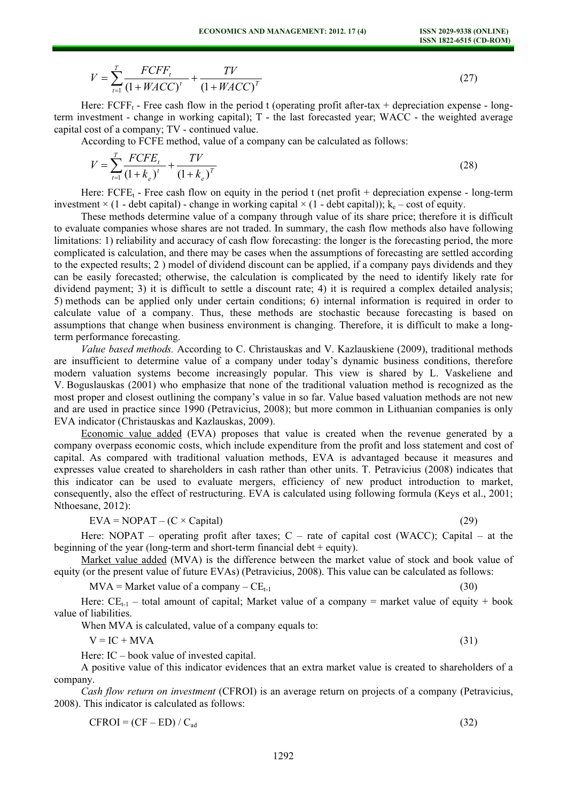$$
V = \sum_{t=1}^{T} \frac{FCFF_t}{(1 + WACC)^t} + \frac{TV}{(1 + WACC)^T}
$$
 (27)

Here:  $FCFF_t$  - Free cash flow in the period t (operating profit after-tax + depreciation expense - longterm investment - change in working capital); T - the last forecasted year; WACC - the weighted average capital cost of a company; TV - continued value.

According to FCFE method, value of a company can be calculated as follows:

$$
V = \sum_{t=1}^{T} \frac{FCFE_t}{(1 + k_e)^t} + \frac{TV}{(1 + k_e)^T}
$$
(28)

Here:  $FCFE_1$  - Free cash flow on equity in the period t (net profit + depreciation expense - long-term investment  $\times$  (1 - debt capital) - change in working capital  $\times$  (1 - debt capital)); k<sub>e</sub> – cost of equity.

These methods determine value of a company through value of its share price; therefore it is difficult to evaluate companies whose shares are not traded. In summary, the cash flow methods also have following limitations: 1) reliability and accuracy of cash flow forecasting: the longer is the forecasting period, the more complicated is calculation, and there may be cases when the assumptions of forecasting are settled according to the expected results; 2 ) model of dividend discount can be applied, if a company pays dividends and they can be easily forecasted; otherwise, the calculation is complicated by the need to identify likely rate for dividend payment; 3) it is difficult to settle a discount rate; 4) it is required a complex detailed analysis; 5) methods can be applied only under certain conditions; 6) internal information is required in order to calculate value of a company. Thus, these methods are stochastic because forecasting is based on assumptions that change when business environment is changing. Therefore, it is difficult to make a longterm performance forecasting.

Value based methods. According to C. Christauskas and V. Kazlauskiene (2009), traditional methods are insufficient to determine value of a company under today's dynamic business conditions, therefore modern valuation systems become increasingly popular. This view is shared by L. Vaskeliene and V. Boguslauskas (2001) who emphasize that none of the traditional valuation method is recognized as the most proper and closest outlining the company's value in so far. Value based valuation methods are not new and are used in practice since 1990 (Petravicius, 2008); but more common in Lithuanian companies is only EVA indicator (Christauskas and Kazlauskas, 2009).

Economic value added (EVA) proposes that value is created when the revenue generated by a company overpass economic costs, which include expenditure from the profit and loss statement and cost of capital. As compared with traditional valuation methods, EVA is advantaged because it measures and expresses value created to shareholders in cash rather than other units. T. Petravicius (2008) indicates that this indicator can be used to evaluate mergers, efficiency of new product introduction to market, consequently, also the effect of restructuring. EVA is calculated using following formula (Keys et al., 2001; Nthoesane, 2012):

$$
EVA = NOPAT - (C \times Capital)
$$
 (29)

Here: NOPAT – operating profit after taxes;  $C$  – rate of capital cost (WACC); Capital – at the beginning of the year (long-term and short-term financial debt  $+$  equity).

Market value added (MVA) is the difference between the market value of stock and book value of equity (or the present value of future EVAs) (Petravicius, 2008). This value can be calculated as follows:

$$
MVA = Market value of a company - CEt-1
$$
 (30)

Here:  $CE_{t-1}$  – total amount of capital; Market value of a company = market value of equity + book value of liabilities.

When MVA is calculated, value of a company equals to:

 $V = IC + MVA$  (31)

Here: IC – book value of invested capital.

A positive value of this indicator evidences that an extra market value is created to shareholders of a company.

Cash flow return on investment (CFROI) is an average return on projects of a company (Petravicius, 2008). This indicator is calculated as follows:

$$
CFROI = (CF - ED) / Cad \tag{32}
$$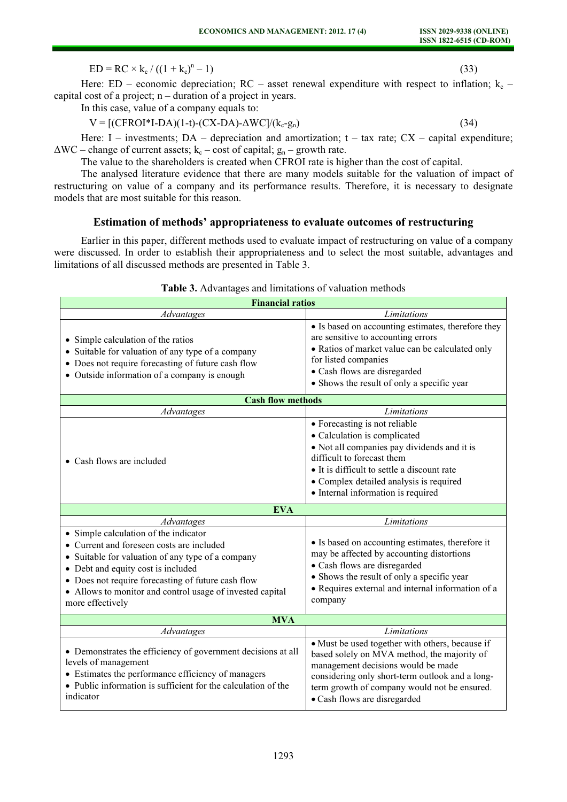$ED = RC \times k_c / ((1 + k_c)^n)$  $(-1)$  (33)

Here: ED – economic depreciation; RC – asset renewal expenditure with respect to inflation;  $k_c$  – capital cost of a project; n – duration of a project in years.

In this case, value of a company equals to:

$$
V = [(CFROI*I-DA)(1-t)-(CX-DA)-\Delta WC]/(k_c-g_n)
$$
\n(34)

Here: I – investments;  $DA$  – depreciation and amortization;  $t - tax$  rate;  $CX$  – capital expenditure;  $\Delta$ WC – change of current assets; k<sub>c</sub> – cost of capital; g<sub>n</sub> – growth rate.

The value to the shareholders is created when CFROI rate is higher than the cost of capital.

The analysed literature evidence that there are many models suitable for the valuation of impact of restructuring on value of a company and its performance results. Therefore, it is necessary to designate models that are most suitable for this reason.

# Estimation of methods' appropriateness to evaluate outcomes of restructuring

Earlier in this paper, different methods used to evaluate impact of restructuring on value of a company were discussed. In order to establish their appropriateness and to select the most suitable, advantages and limitations of all discussed methods are presented in Table 3.

| <b>Financial ratios</b>                                                                                                                                                                                                                                                                                              |                                                                                                                                                                                                                                                                            |  |  |  |
|----------------------------------------------------------------------------------------------------------------------------------------------------------------------------------------------------------------------------------------------------------------------------------------------------------------------|----------------------------------------------------------------------------------------------------------------------------------------------------------------------------------------------------------------------------------------------------------------------------|--|--|--|
| Advantages                                                                                                                                                                                                                                                                                                           | Limitations                                                                                                                                                                                                                                                                |  |  |  |
| • Simple calculation of the ratios<br>• Suitable for valuation of any type of a company<br>• Does not require forecasting of future cash flow<br>• Outside information of a company is enough                                                                                                                        | • Is based on accounting estimates, therefore they<br>are sensitive to accounting errors<br>• Ratios of market value can be calculated only<br>for listed companies<br>• Cash flows are disregarded<br>• Shows the result of only a specific year                          |  |  |  |
| <b>Cash flow methods</b>                                                                                                                                                                                                                                                                                             |                                                                                                                                                                                                                                                                            |  |  |  |
| Advantages                                                                                                                                                                                                                                                                                                           | Limitations                                                                                                                                                                                                                                                                |  |  |  |
| • Cash flows are included                                                                                                                                                                                                                                                                                            | • Forecasting is not reliable<br>• Calculation is complicated<br>• Not all companies pay dividends and it is<br>difficult to forecast them<br>• It is difficult to settle a discount rate<br>• Complex detailed analysis is required<br>• Internal information is required |  |  |  |
| <b>EVA</b>                                                                                                                                                                                                                                                                                                           |                                                                                                                                                                                                                                                                            |  |  |  |
| Advantages                                                                                                                                                                                                                                                                                                           | Limitations                                                                                                                                                                                                                                                                |  |  |  |
| • Simple calculation of the indicator<br>• Current and foreseen costs are included<br>• Suitable for valuation of any type of a company<br>• Debt and equity cost is included<br>• Does not require forecasting of future cash flow<br>• Allows to monitor and control usage of invested capital<br>more effectively | • Is based on accounting estimates, therefore it<br>may be affected by accounting distortions<br>• Cash flows are disregarded<br>• Shows the result of only a specific year<br>• Requires external and internal information of a<br>company                                |  |  |  |
| <b>MVA</b>                                                                                                                                                                                                                                                                                                           |                                                                                                                                                                                                                                                                            |  |  |  |
| <b>Advantages</b>                                                                                                                                                                                                                                                                                                    | Limitations                                                                                                                                                                                                                                                                |  |  |  |
| • Demonstrates the efficiency of government decisions at all<br>levels of management<br>• Estimates the performance efficiency of managers<br>• Public information is sufficient for the calculation of the<br>indicator                                                                                             | • Must be used together with others, because if<br>based solely on MVA method, the majority of<br>management decisions would be made<br>considering only short-term outlook and a long-<br>term growth of company would not be ensured.<br>· Cash flows are disregarded    |  |  |  |

## Table 3. Advantages and limitations of valuation methods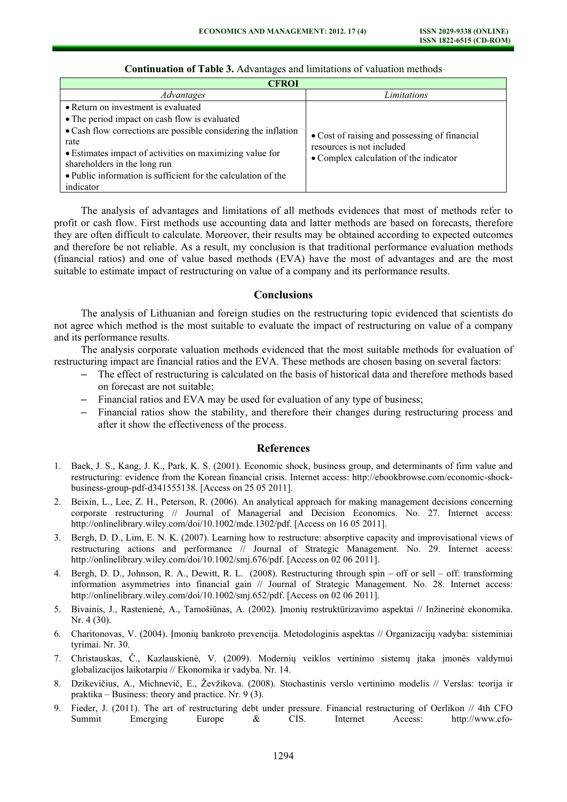| <b>CFROI</b>                                                                                                                                                                                                                                     |                                                                                                                      |  |  |
|--------------------------------------------------------------------------------------------------------------------------------------------------------------------------------------------------------------------------------------------------|----------------------------------------------------------------------------------------------------------------------|--|--|
| Advantages                                                                                                                                                                                                                                       | Limitations                                                                                                          |  |  |
| • Return on investment is evaluated                                                                                                                                                                                                              |                                                                                                                      |  |  |
| • The period impact on cash flow is evaluated                                                                                                                                                                                                    |                                                                                                                      |  |  |
| • Cash flow corrections are possible considering the inflation<br>rate<br>• Estimates impact of activities on maximizing value for<br>shareholders in the long run<br>• Public information is sufficient for the calculation of the<br>indicator | • Cost of raising and possessing of financial<br>resources is not included<br>• Complex calculation of the indicator |  |  |

#### Continuation of Table 3. Advantages and limitations of valuation methods

The analysis of advantages and limitations of all methods evidences that most of methods refer to profit or cash flow. First methods use accounting data and latter methods are based on forecasts, therefore they are often difficult to calculate. Moreover, their results may be obtained according to expected outcomes and therefore be not reliable. As a result, my conclusion is that traditional performance evaluation methods (financial ratios) and one of value based methods (EVA) have the most of advantages and are the most suitable to estimate impact of restructuring on value of a company and its performance results.

# Conclusions

The analysis of Lithuanian and foreign studies on the restructuring topic evidenced that scientists do not agree which method is the most suitable to evaluate the impact of restructuring on value of a company and its performance results.

The analysis corporate valuation methods evidenced that the most suitable methods for evaluation of restructuring impact are financial ratios and the EVA. These methods are chosen basing on several factors:

- The effect of restructuring is calculated on the basis of historical data and therefore methods based on forecast are not suitable;
- Financial ratios and EVA may be used for evaluation of any type of business;
- Financial ratios show the stability, and therefore their changes during restructuring process and after it show the effectiveness of the process.

#### References

- 1. Baek, J. S., Kang, J. K., Park, K. S. (2001). Economic shock, business group, and determinants of firm value and restructuring: evidence from the Korean financial crisis. Internet access: http://ebookbrowse.com/economic-shockbusiness-group-pdf-d341555138. [Access on 25 05 2011].
- 2. Beixin, L., Lee, Z. H., Peterson, R. (2006). An analytical approach for making management decisions concerning corporate restructuring // Journal of Managerial and Decision Economics. No. 27. Internet access: http://onlinelibrary.wiley.com/doi/10.1002/mde.1302/pdf. [Access on 16 05 2011].
- 3. Bergh, D. D., Lim, E. N. K. (2007). Learning how to restructure: absorptive capacity and improvisational views of restructuring actions and performance // Journal of Strategic Management. No. 29. Internet access: http://onlinelibrary.wiley.com/doi/10.1002/smj.676/pdf. [Access on 02 06 2011].
- 4. Bergh, D. D., Johnson, R. A., Dewitt, R. L. (2008). Restructuring through spin off or sell off: transforming information asymmetries into financial gain // Journal of Strategic Management. No. 28. Internet access: http://onlinelibrary.wiley.com/doi/10.1002/smj.652/pdf. [Access on 02 06 2011].
- 5. Bivainis, J., Rastenienė, A., Tamošiūnas, A. (2002). Įmonių restruktūrizavimo aspektai // Inžinerinė ekonomika. Nr. 4 (30).
- 6. Charitonovas, V. (2004). Įmonių bankroto prevencija. Metodologinis aspektas // Organizacijų vadyba: sisteminiai tyrimai. Nr. 30.
- 7. Christauskas, Č., Kazlauskienė, V. (2009). Modernių veiklos vertinimo sistemų įtaka įmonės valdymui globalizacijos laikotarpiu // Ekonomika ir vadyba. Nr. 14.
- 8. Dzikevičius, A., Michnevič, E., Ževžikova. (2008). Stochastinis verslo vertinimo modelis // Verslas: teorija ir praktika – Business: theory and practice. Nr. 9 (3).
- 9. Fieder, J. (2011). The art of restructuring debt under pressure. Financial restructuring of Oerlikon // 4th CFO Summit Emerging Europe & CIS. Internet Access: http://www.cfo-